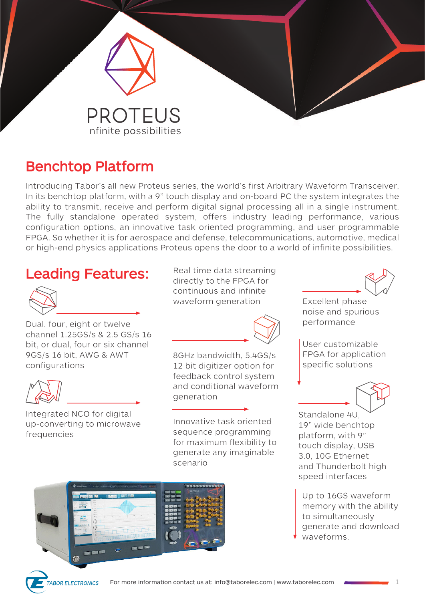

## **Benchtop Platform**

Introducing Tabor's all new Proteus series, the world's first Arbitrary Waveform Transceiver. In its benchtop platform, with a 9" touch display and on-board PC the system integrates the ability to transmit, receive and perform digital signal processing all in a single instrument. The fully standalone operated system, offers industry leading performance, various configuration options, an innovative task oriented programming, and user programmable FPGA. So whether it is for aerospace and defense, telecommunications, automotive, medical or high-end physics applications Proteus opens the door to a world of infinite possibilities.

### **Leading Features:**



Dual, four, eight or twelve channel 1.25GS/s & 2.5 GS/s 16 bit, or dual, four or six channel 9GS/s 16 bit, AWG & AWT configurations



Integrated NCO for digital up-converting to microwave frequencies

Real time data streaming directly to the FPGA for continuous and infinite waveform generation **Excellent phase** 



8GHz bandwidth, 5.4GS/s 12 bit digitizer option for feedback control system and conditional waveform generation

Innovative task oriented sequence programming for maximum flexibility to generate any imaginable scenario





noise and spurious performance

User customizable FPGA for application specific solutions



Standalone 4U, 19" wide benchtop platform, with 9" touch display, USB 3.0, 10G Ethernet and Thunderbolt high speed interfaces

Up to 16GS waveform memory with the ability to simultaneously generate and download waveforms.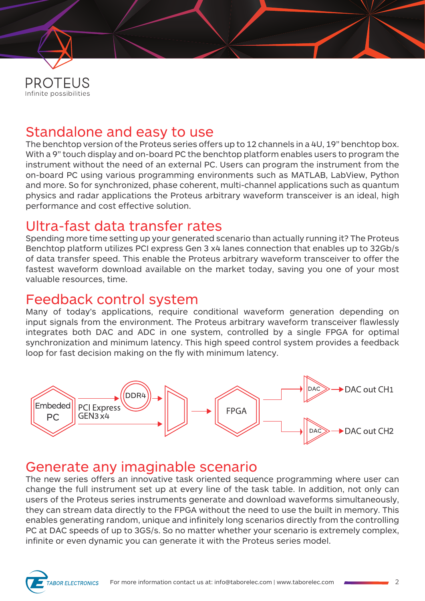

## Standalone and easy to use

The benchtop version of the Proteus series offers up to 12 channels in a 4U, 19" benchtop box. With a 9" touch display and on-board PC the benchtop platform enables users to program the instrument without the need of an external PC. Users can program the instrument from the on-board PC using various programming environments such as MATLAB, LabView, Python and more. So for synchronized, phase coherent, multi-channel applications such as quantum physics and radar applications the Proteus arbitrary waveform transceiver is an ideal, high performance and cost effective solution.

### Ultra-fast data transfer rates

Spending more time setting up your generated scenario than actually running it? The Proteus Benchtop platform utilizes PCI express Gen 3 x4 lanes connection that enables up to 32Gb/s of data transfer speed. This enable the Proteus arbitrary waveform transceiver to offer the fastest waveform download available on the market today, saving you one of your most valuable resources, time.

#### Feedback control system

Many of today's applications, require conditional waveform generation depending on input signals from the environment. The Proteus arbitrary waveform transceiver flawlessly integrates both DAC and ADC in one system, controlled by a single FPGA for optimal synchronization and minimum latency. This high speed control system provides a feedback loop for fast decision making on the fly with minimum latency.



# Generate any imaginable scenario

The new series offers an innovative task oriented sequence programming where user can change the full instrument set up at every line of the task table. In addition, not only can users of the Proteus series instruments generate and download waveforms simultaneously, they can stream data directly to the FPGA without the need to use the built in memory. This enables generating random, unique and infinitely long scenarios directly from the controlling PC at DAC speeds of up to 3GS/s. So no matter whether your scenario is extremely complex, infinite or even dynamic you can generate it with the Proteus series model.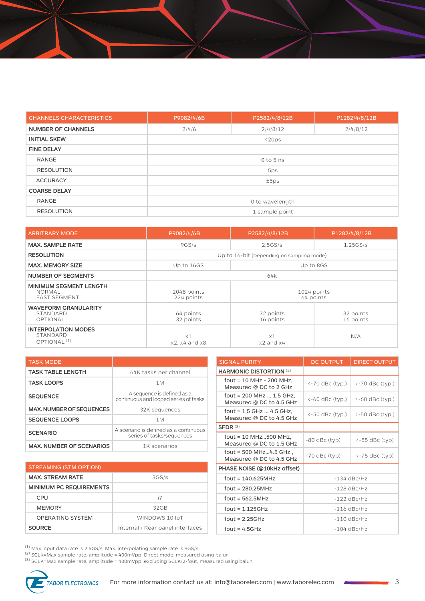| <b>CHANNELS CHARACTERISTICS</b> | P9082/4/6B      | P2582/4/8/12B | P1282/4/8/12B |
|---------------------------------|-----------------|---------------|---------------|
| <b>NUMBER OF CHANNELS</b>       | 2/4/6           | 2/4/8/12      | 2/4/8/12      |
| <b>INITIAL SKEW</b>             | $\langle 20ps$  |               |               |
| <b>FINE DELAY</b>               |                 |               |               |
| RANGE                           | $0$ to 5 ns     |               |               |
| <b>RESOLUTION</b>               | 5ps             |               |               |
| <b>ACCURACY</b>                 | ±5ps            |               |               |
| <b>COARSE DELAY</b>             |                 |               |               |
| <b>RANGE</b>                    | 0 to wavelength |               |               |
| <b>RESOLUTION</b>               | 1 sample point  |               |               |

| <b>ARBITRARY MODE</b>                                                 | P9082/4/6B                      | P2582/4/8/12B                             | P1282/4/8/12B          |
|-----------------------------------------------------------------------|---------------------------------|-------------------------------------------|------------------------|
| <b>MAX. SAMPLE RATE</b>                                               | 9GS/s                           | 2.5GS/s                                   | 1.25GS/s               |
| <b>RESOLUTION</b>                                                     |                                 | Up to 16-bit (Depending on sampling mode) |                        |
| <b>MAX. MEMORY SIZE</b>                                               | Up to 16GS                      | Up to 8GS                                 |                        |
| <b>NUMBER OF SEGMENTS</b>                                             | 64k                             |                                           |                        |
| <b>MINIMUM SEGMENT LENGTH</b><br><b>NORMAL</b><br><b>FAST SEGMENT</b> | 2048 points<br>224 points       | 1024 points<br>64 points                  |                        |
| <b>WAVEFORM GRANULARITY</b><br>STANDARD<br>OPTIONAL                   | 64 points<br>32 points          | 32 points<br>16 points                    | 32 points<br>16 points |
| <b>INTERPOLATION MODES</b><br>STANDARD<br>OPTIONAL <sup>(1)</sup>     | $\times 1$<br>$x2. x4$ and $x8$ | x1<br>x2 and x4                           | N/A                    |

| <b>TASK MODE</b>                |                                                                     |
|---------------------------------|---------------------------------------------------------------------|
| <b>TASK TABLE LENGTH</b>        | 64K tasks per channel                                               |
| <b>TASK LOOPS</b>               | 1M                                                                  |
| <b>SEQUENCE</b>                 | A sequence is defined as a<br>continuous and looped series of tasks |
| <b>MAX, NUMBER OF SEQUENCES</b> | 32K sequences                                                       |
| <b>SEQUENCE LOOPS</b>           | 1M                                                                  |
| <b>SCENARIO</b>                 | A scenario is defined as a continuous<br>series of tasks/sequences  |
| <b>MAX. NUMBER OF SCENARIOS</b> | 1K scenarios                                                        |

| MAA, NUMBER OF SEQUENCES        | JZN SEYUEHCES                         | fout = $1.5$ GHz $$ 4.5 GHz,                         | $\leftarrow$ 50 dBc (typ.) | $\leftarrow$ 50 dBc (typ.)   |
|---------------------------------|---------------------------------------|------------------------------------------------------|----------------------------|------------------------------|
| <b>SEQUENCE LOOPS</b>           | 1M                                    | Measured @ DC to 4.5 GHz                             |                            |                              |
|                                 | A scenario is defined as a continuous | SFDR <sup>(3)</sup>                                  |                            |                              |
| <b>SCENARIO</b>                 | series of tasks/sequences             | fout = $10$ MHz500 MHz.<br>Measured @ DC to 1.5 GHz  | $-80$ dBc (typ)            | $\left\langle -85$ dBc (typ) |
| <b>MAX. NUMBER OF SCENARIOS</b> | 1K scenarios                          | fout = $500$ MHz4.5 GHz,<br>Measured @ DC to 4.5 GHz | $-70$ dBc (typ)            | $\left\langle -75$ dBc (typ) |
| <b>STREAMING (STM OPTION)</b>   |                                       | PHASE NOISE (@10kHz offset)                          |                            |                              |
| <b>MAX. STREAM RATE</b>         | 3GS/s                                 | $fout = 140.625MHz$                                  |                            | $-134$ dBc/Hz                |
| <b>MINIMUM PC REQUIREMENTS</b>  |                                       | $fout = 280.25 MHz$                                  |                            | $-128$ dBc/Hz                |
| <b>CPU</b>                      | i7                                    | $fout = 562.5MHz$                                    |                            | $-122$ dBc/Hz                |
| <b>MEMORY</b>                   | 32GB                                  | fout = $1.125GHz$                                    |                            | $-116$ dBc/Hz                |
| <b>OPERATING SYSTEM</b>         | WINDOWS 10 IoT                        | fout = $2.25GHz$                                     |                            | $-110$ dBc/Hz                |
| <b>SOURCE</b>                   | Internal / Rear panel interfaces      | fout = $4.5GHz$                                      |                            | $-104$ dBc/Hz                |
|                                 |                                       |                                                      |                            |                              |

**HARMONIC DISTORTION** (2) fout = 10 MHz - 200 MHz,

fout = 200 MHz ... 1.5 GHz,

fout = 1.5 GHz ... 4.5 GHz,

SIGNAL PURITY **DE OUTPUT** DIRECT OUTPUT

Note = 10 MHz - 200 MHz,<br>Measured @ DC to 2 GHz  $\left( \begin{array}{c} \langle \cdot \rangle -70 \text{ dBc (typ.)} \\ \langle \cdot \rangle \end{array} \right)$   $\left( \cdot \rangle -70 \text{ dBc (typ.)}$ 

Measured @ DC to 4.5 GHz  $\vert$  <-60 dBc (typ.)  $\vert$  <-60 dBc (typ.)

(1) Max input data rate is 2.5GS/s. Max. interpolating sample rate is  $9GS/s$ 

(2) SCLK=Max sample rate, amplitude = 400mVpp, Direct mode, measured using balun

(3) SCLK=Max sample rate, amplitude = 400mVpp, excluding SCLK/2-fout, measured using balun

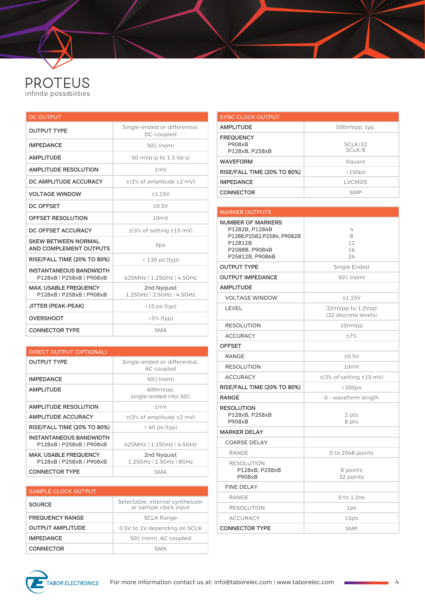

| <b>DC OUTPUT</b>                                           |                                             |  |
|------------------------------------------------------------|---------------------------------------------|--|
| <b>OUTPUT TYPE</b>                                         | Single-ended or differential,<br>DC-coupled |  |
| <b>IMPEDANCE</b>                                           | $50\Omega$ (nom)                            |  |
| <b>AMPLITUDE</b>                                           | 50 mVp-p to 1.3 Vp-p                        |  |
| <b>AMPLITUDE RESOLUTION</b>                                | 1mV                                         |  |
| DC AMPLITUDE ACCURACY                                      | $\pm$ (3% of amplitude $\pm$ 2 mV)          |  |
| <b>VOLTAGE WINDOW</b>                                      | ±1.15V                                      |  |
| <b>DC OFFSET</b>                                           | ±0.5V                                       |  |
| <b>OFFSET RESOLUTION</b>                                   | 10mV                                        |  |
| DC OFFSET ACCURACY                                         | $\pm$ (3% of setting $\pm$ 15 mV)           |  |
| <b>SKEW BETWEEN NORMAL</b><br>AND COMPLEMENT OUTPUTS       | 0ps                                         |  |
| <b>RISE/FALL TIME (20% TO 80%)</b>                         | $\langle$ 130 ps (typ)                      |  |
| <b>INSTANTANEOUS BANDWIDTH</b><br>P128xB   P258xB   P908xB | 625MHz   1.25GHz   4.5GHz                   |  |
| <b>MAX, USABLE FREQUENCY</b><br>P128xB   P258xB   P908xB   | 2nd Nyquist<br>1.25GHz   2.5GHz   4.5GHz    |  |
| <b>JITTER (PEAK-PEAK)</b>                                  | $(15 \text{ ps (typ)}$                      |  |
| <b>OVERSHOOT</b>                                           | $\langle 5\%$ (typ)                         |  |
| <b>CONNECTOR TYPE</b>                                      | <b>SMA</b>                                  |  |

| <b>DIRECT OUTPUT (OPTIONAL)</b>                            |                                             |  |
|------------------------------------------------------------|---------------------------------------------|--|
| <b>OUTPUT TYPE</b>                                         | Single-ended or differential,<br>AC coupled |  |
| <b>IMPEDANCE</b>                                           | $50\Omega$ (nom)                            |  |
| <b>AMPLITUDE</b>                                           | 600mVpp<br>single-ended into $50\Omega$     |  |
| <b>AMPLITUDE RESOLUTION</b>                                | 1 <sub>m</sub>                              |  |
| <b>AMPLITUDE ACCURACY</b>                                  | $\pm$ (3% of amplitude $\pm$ 2 mV)          |  |
| <b>RISE/FALL TIME (20% TO 80%)</b>                         | $\langle 60 \rangle$ ps (typ)               |  |
| <b>INSTANTANEOUS BANDWIDTH</b><br>P128xB   P258xB   P908xB | 625MHz   1.25GHz   4.5GHz                   |  |
| <b>MAX. USABLE FREQUENCY</b><br>P128xB   P258xB   P908xB   | 2nd Nyquist<br>1.25GHz   2.5GHz   8GHz      |  |
| <b>CONNECTOR TYPE</b>                                      | SMA                                         |  |

| <b>SAMPLE CLOCK OUTPUT</b> |                                                           |
|----------------------------|-----------------------------------------------------------|
| <b>SOURCE</b>              | Selectable, internal synthesizer<br>or sample clock input |
| <b>FREQUENCY RANGE</b>     | <b>SCLK Range</b>                                         |
| <b>OUTPUT AMPLITUDE</b>    | 0.5V to 1V depending on SCLK                              |
| <b>IMPEDANCE</b>           | $50\Omega$ (nom), AC coupled                              |
| <b>CONNECTOR</b>           | SMA                                                       |

| <b>SYNC CLOCK OUTPUT</b>                            |                         |
|-----------------------------------------------------|-------------------------|
| <b>AMPLITUDE</b>                                    | 500mVpp, typ.           |
| <b>FREQUENCY</b><br><b>P908xB</b><br>P128xB, P258xB | SCLK/32<br>SCLK/8       |
| <b>WAVEFORM</b>                                     | Square                  |
| <b>RISE/FALL TIME (20% TO 80%)</b>                  | $\langle 150 \text{ps}$ |
| <b>IMPEDANCE</b>                                    | <b>LVCMOS</b>           |
| <b>CONNECTOR</b>                                    | <b>SMP</b>              |

#### MARKER OUTPUTS **NUMBER OF MARKERS** P1282B, P1284B P1288,P2582,P2584, P9082B P12812B P2588B, P9084B P25812B, P9086B 4 8 12 16 24 **OUTPUT TYPE** Single Ended **OUTPUT IMPEDANCE** 50Ω (nom) **AMPLITUDE** VOLTAGE WINDOW ±1.15V LEVEL 2012 22mVpp to 1.2Vpp (32 discrete levels) RESOLUTION 10mVpp ACCURACY  $\pm 7\%$ **OFFSET** RANGE  $±0.5V$ RESOLUTION 10mV ACCURACY  $\pm$ (3% of setting  $\pm$ 15 mV) **RISE/FALL TIME (20% TO 80%)**  $\vert$  <200ps **RANGE** 0 - waveform length **RESOLUTION** P128xB, P258xB P908xB 2 pts 8 pts **MARKER DELAY** COARSE DELAY RANGE 0 to 2048 points RESOLUTION P128xB, P258xB P908xB 8 points 32 points FINE DELAY RANGE  $0 \text{ to } 1.2 \text{ ns}$ RESOLUTION 1ps ACCURACY 25ps **CONNECTOR TYPE** SMP

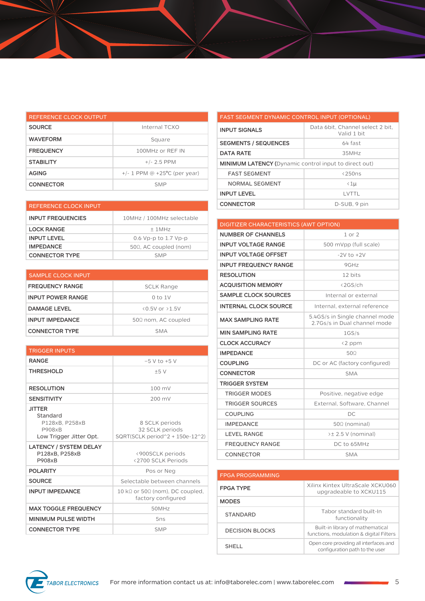| REFERENCE CLOCK OUTPUT |                                   |
|------------------------|-----------------------------------|
| <b>SOURCE</b>          | Internal TCXO                     |
| <b>WAVEFORM</b>        | Square                            |
| <b>FREQUENCY</b>       | 100MHz or REF IN                  |
| <b>STABILITY</b>       | $+/- 2.5$ PPM                     |
| <b>AGING</b>           | $+/- 1$ PPM @ $+25$ °C (per year) |
| <b>CONNECTOR</b>       | <b>SMP</b>                        |

| <b>REFERENCE CLOCK INPUT</b> |                               | <b>CONNECTOR</b>                       | D-SUB, 9 pin      |
|------------------------------|-------------------------------|----------------------------------------|-------------------|
| <b>INPUT FREQUENCIES</b>     | 10MHz / 100MHz selectable     |                                        |                   |
|                              |                               | DIGITIZER CHARACTERISTICS (AWT OPTION) |                   |
| <b>LOCK RANGE</b>            | ±1MHz                         |                                        | $1$ or $2$        |
| <b>INPUT LEVEL</b>           | 0.6 Vp-p to 1.7 Vp-p          | <b>NUMBER OF CHANNELS</b>              |                   |
| <b>IMPEDANCE</b>             | $50\Omega$ , AC coupled (nom) | <b>INPUT VOLTAGE RANGE</b>             | 500 mVpp (full so |
| <b>CONNECTOR TYPE</b>        | <b>SMP</b>                    | <b>INPUT VOLTAGE OFFSET</b>            | $-2V$ to $+2V$    |

| <b>SAMPLE CLOCK INPUT</b> |                            |
|---------------------------|----------------------------|
| <b>FREQUENCY RANGE</b>    | <b>SCLK Range</b>          |
| <b>INPUT POWER RANGE</b>  | $0$ to $1V$                |
| <b>DAMAGE LEVEL</b>       | $\langle$ 0.5V or $>1.5$ V |
| <b>INPUT IMPEDANCE</b>    | $50\Omega$ nom, AC coupled |
| <b>CONNECTOR TYPE</b>     | <b>SMA</b>                 |

| <b>TRIGGER INPUTS</b>                                                            |                                                                       |
|----------------------------------------------------------------------------------|-----------------------------------------------------------------------|
| <b>RANGE</b>                                                                     | $-5$ V to $+5$ V                                                      |
| <b>THRESHOLD</b>                                                                 | ±5V                                                                   |
| <b>RESOLUTION</b>                                                                | $100 \text{ mV}$                                                      |
| <b>SENSITIVITY</b>                                                               | 200 mV                                                                |
| <b>JITTER</b><br>Standard<br>P128xB. P258xB<br>P908xB<br>Low Trigger Jitter Opt. | 8 SCLK periods<br>32 SCLK periods<br>SQRT(SCLK period^2 + 150e-12^2)  |
| <b>LATENCY / SYSTEM DELAY</b><br>P128xB, P258xB<br>P908xB                        | <900SCLK periods<br><2700 SCLK Periods                                |
| <b>POLARITY</b>                                                                  | Pos or Neg                                                            |
| <b>SOURCE</b>                                                                    | Selectable between channels                                           |
| <b>INPUT IMPEDANCE</b>                                                           | 10 k $\Omega$ or 50 $\Omega$ (nom), DC coupled,<br>factory configured |
| <b>MAX TOGGLE FREQUENCY</b>                                                      | 50MHz                                                                 |
| <b>MINIMUM PULSE WIDTH</b>                                                       | 5ns                                                                   |
| <b>CONNECTOR TYPE</b>                                                            | <b>SMP</b>                                                            |

| <b>FAST SEGMENT DYNAMIC CONTROL INPUT (OPTIONAL)</b>         |                                                 |
|--------------------------------------------------------------|-------------------------------------------------|
| <b>INPUT SIGNALS</b>                                         | Data 6bit. Channel select 2 bit.<br>Valid 1 bit |
| <b>SEGMENTS / SEQUENCES</b>                                  | 64 fast                                         |
| <b>DATA RATE</b>                                             | 35MHz                                           |
| <b>MINIMUM LATENCY (Dynamic control input to direct out)</b> |                                                 |
| <b>FAST SEGMENT</b>                                          | $\langle$ 250ns                                 |
| NORMAL SEGMENT                                               | $\langle 1 \mu$                                 |
| <b>INPUT LEVEL</b>                                           | I VTTI                                          |
| <b>CONNECTOR</b>                                             | D-SUB, 9 pin                                    |

| <b>DIGITIZER CHARACTERISTICS (AWT OPTION)</b> |                                                                |
|-----------------------------------------------|----------------------------------------------------------------|
| <b>NUMBER OF CHANNELS</b>                     | $1$ or $2$                                                     |
| <b>INPUT VOLTAGE RANGE</b>                    | 500 mVpp (full scale)                                          |
| <b>INPUT VOLTAGE OFFSET</b>                   | $-2V$ to $+2V$                                                 |
| <b>INPUT FREQUENCY RANGE</b>                  | 9GHz                                                           |
| <b>RESOLUTION</b>                             | 12 bits                                                        |
| <b>ACQUISITION MEMORY</b>                     | <2GS/ch                                                        |
| <b>SAMPLE CLOCK SOURCES</b>                   | Internal or external                                           |
| <b>INTERNAL CLOCK SOURCE</b>                  | Internal, external reference                                   |
| <b>MAX SAMPLING RATE</b>                      | 5.4GS/s in Single channel mode<br>2.7Gs/s in Dual channel mode |
| <b>MIN SAMPLING RATE</b>                      | 1GS/s                                                          |
| <b>CLOCK ACCURACY</b>                         | <2 ppm                                                         |
| <b>IMPEDANCE</b>                              | 500                                                            |
| <b>COUPLING</b>                               | DC or AC (factory configured)                                  |
| <b>CONNECTOR</b>                              | <b>SMA</b>                                                     |
| <b>TRIGGER SYSTEM</b>                         |                                                                |
| <b>TRIGGER MODES</b>                          | Positive, negative edge                                        |
| <b>TRIGGER SOURCES</b>                        | External, Software, Channel                                    |
| <b>COUPLING</b>                               | DC                                                             |
| <b>IMPEDANCE</b>                              | $50\Omega$ (nominal)                                           |
| <b>LEVEL RANGE</b>                            | $\geq \pm 2.5$ V (nominal)                                     |
| <b>FREQUENCY RANGE</b>                        | DC to 65MHz                                                    |
| <b>CONNECTOR</b>                              | <b>SMA</b>                                                     |

| <b>FPGA PROGRAMMING</b> |                                                                             |
|-------------------------|-----------------------------------------------------------------------------|
| <b>FPGA TYPE</b>        | Xilinx Kintex UltraScale XCKU060<br>upgradeable to XCKU115                  |
| <b>MODES</b>            |                                                                             |
| <b>STANDARD</b>         | Tabor standard built-In<br>functionality                                    |
| DECISION BLOCKS         | Built-in library of mathematical<br>functions, modulation & digital Filters |
| SHELL.                  | Open core providing all interfaces and<br>configuration path to the user    |